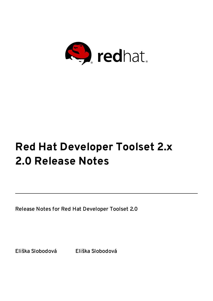

# **Red Hat Developer Toolset 2.x 2.0 Release Notes**

Release Notes for Red Hat Developer Toolset 2.0

Eliška Slobodová Eliška Slobodová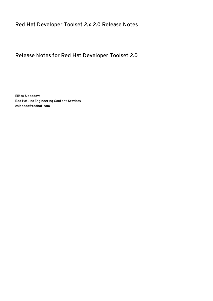### Release Notes for Red Hat Developer Toolset 2.0

Eliška Slobodová Red Hat, Inc Engineering Content Services eslobodo@redhat.com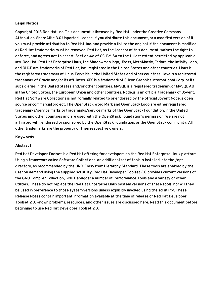#### **Legal Notice**

Copyright 2013 Red Hat, Inc. This document is licensed by Red Hat under the Creative Commons Attribution-ShareAlike 3.0 Unported License. If you distribute this document, or a modified version of it, you must provide attribution to Red Hat, Inc. and provide a link to the original. If the document is modified, allRed Hat trademarks must be removed. Red Hat, as the licensor of this document, waives the right to enforce, and agrees not to assert, Section 4d of CC-BY-SA to the fullest extent permitted by applicable law. Red Hat, Red Hat Enterprise Linux, the Shadowman logo, JBoss, MetaMatrix, Fedora, the Infinity Logo, and RHCE are trademarks of Red Hat, Inc., registered in the United States and other countries. Linux is the registered trademark of Linus Torvalds in the United States and other countries. Java is a registered trademark of Oracle and/or its affiliates. XFS is a trademark of Silicon Graphics International Corp. or its subsidiaries in the United States and/or other countries. MySQLis a registered trademark of MySQLAB in the United States, the European Union and other countries. Node.js is an officialtrademark of Joyent. Red Hat Software Collections is not formally related to or endorsed by the official Joyent Node.js open source or commercial project. The OpenStack Word Mark and OpenStack Logo are either registered trademarks/service marks or trademarks/service marks of the OpenStack Foundation, in the United States and other countries and are used with the OpenStack Foundation's permission. We are not affiliated with, endorsed or sponsored by the OpenStack Foundation, or the OpenStack community. All other trademarks are the property of their respective owners.

#### **Keywords**

#### **Abstract**

Red Hat Developer Toolset is a Red Hat offering for developers on the Red Hat Enterprise Linux platform. Using a framework called Software Collections, an additional set of tools is installed into the /opt directory, as recommended by the UNIX Filesystem Hierarchy Standard. These tools are enabled by the user on demand using the supplied scl utility. Red Hat Developer Toolset 2.0 provides current versions of the GNU Compiler Collection, GNU Debugger a number of Performance Tools and a variety of other utilities. These do not replace the Red Hat Enterprise Linux system versions of these tools, nor willthey be used in preference to those system versions unless explicitly invoked using the scl utility. These Release Notes contain important information available at the time of release of Red Hat Developer Toolset 2.0. Known problems, resources, and other issues are discussed here. Read this document before beginning to use Red Hat Developer Toolset 2.0.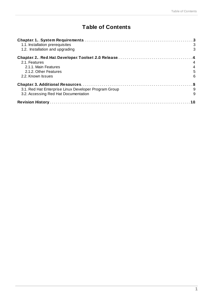# **Table of Contents**

| 1.1. Installation prerequisites                       | 3              |  |  |  |  |
|-------------------------------------------------------|----------------|--|--|--|--|
| 1.2. Installation and upgrading                       | 3              |  |  |  |  |
|                                                       |                |  |  |  |  |
| 2.1. Features                                         |                |  |  |  |  |
| 2.1.1. Main Features                                  | $\overline{4}$ |  |  |  |  |
| 2.1.2. Other Features                                 | 5              |  |  |  |  |
| 2.2. Known Issues                                     | 6              |  |  |  |  |
|                                                       |                |  |  |  |  |
| 3.1. Red Hat Enterprise Linux Developer Program Group | - 9            |  |  |  |  |
| 3.2. Accessing Red Hat Documentation                  | 9              |  |  |  |  |
|                                                       |                |  |  |  |  |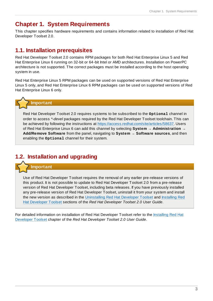### <span id="page-6-0"></span>**Chapter 1. System Requirements**

This chapter specifies hardware requirements and contains information related to installation of Red Hat Developer Toolset 2.0.

### <span id="page-6-1"></span>**1.1. Installation prerequisites**

Red Hat Developer Toolset 2.0 contains RPM packages for both Red Hat Enterprise Linux 5 and Red Hat Enterprise Linux 6 running on 32-bit or 64-bit Intel or AMD architectures. Installation on PowerPC architecture is not supported. The correct packages must be installed according to the host operating system in use.

Red Hat Enterprise Linux 5 RPM packages can be used on supported versions of Red Hat Enterprise Linux 5 only, and Red Hat Enterprise Linux 6 RPM packages can be used on supported versions of Red Hat Enterprise Linux 6 only.



Red Hat Developer Toolset 2.0 requires systems to be subscribed to the **Optional** channel in order to access *\*-devel* packages required by the Red Hat Developer Toolset toolchain. This can be achieved by following the instructions at <https://access.redhat.com/site/articles/58637>. Users of Red Hat Enterprise Linux 6 can add this channel by selecting **System** → **Administration** → **Add/Remove Software** from the panel, navigating to **System** → **Software sources**, and then enabling the **Optional** channel for their system.

## <span id="page-6-2"></span>**1.2. Installation and upgrading**

**Important**

Use of Red Hat Developer Toolset requires the removal of any earlier pre-release versions of this product. It is not possible to update to Red Hat Developer Toolset 2.0 from a pre-release version of Red Hat Developer Toolset, including beta releases. If you have previously installed any pre-release version of Red Hat Developer Toolset, uninstall it from your system and install the new version as described in the [Uninstalling](https://access.redhat.com/site/documentation/en-US/Red_Hat_Developer_Toolset/2/html/User_Guide/sect-Red_Hat_Developer_Toolset-Install.html) Red Hat Developer Toolset and Installing Red Hat Developer Toolset sections of the *Red Hat Developer Toolset 2.0 User Guide*.

For detailed [information](https://access.redhat.com/site/documentation/en-US/Red_Hat_Developer_Toolset/2/html/User_Guide/sect-Red_Hat_Developer_Toolset-Install.html) on installation of Red Hat Developer Toolset refer to the Installing Red Hat Developer Toolset chapter of the *Red Hat Developer Toolset 2.0 User Guide*.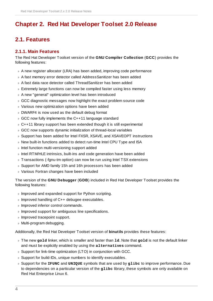# <span id="page-7-0"></span>**Chapter 2. Red Hat Developer Toolset 2.0 Release**

### <span id="page-7-1"></span>**2.1. Features**

### <span id="page-7-2"></span>**2.1.1. Main Features**

The Red Hat Developer Toolset version of the **GNU Compiler Collection** (**GCC**) provides the following features:

- A new register allocator (LRA) has been added, improving code performance
- A fast memory error detector called AddressSanitizer has been added
- A fast data race detector called ThreadSanitizer has been added
- Extremely large functions can now be compiled faster using less memory
- A new "general" optimization level has been introduced
- GCC diagnostic messages now highlight the exact problem source code
- Various new optimization options have been added
- DWARF4 is now used as the default debug format
- GCC now fully implements the C++11 language standard
- C++11 library support has been extended though it is still experimental
- GCC now supports dynamic initialization of thread-local variables
- Support has been added for Intel FXSR, XSAVE, and XSAVEOPT instructions
- New built-in functions added to detect run-time Intel CPU Type and ISA
- Intel function multi-versioning support added
- **Intel RTM/HLE intrinsics, built-ins and code generation have been added**
- Transactions (-fgnu-tm option) can now be run using Intel TSX extensions
- Support for AMD family 15h and 16h processors has been added
- Various Fortran changes have been included

The version of the **GNU Debugger** (**GDB**) included in Red Hat Developer Toolset provides the following features:

- **Improved and expanded support for Python scripting.**
- Improved handling of C++ debugee executables.
- **Improved inferior control commands.**
- **Improved support for ambiguous line specifications.**
- **Improved tracepoint support.**
- Multi-program debugging.

Additionally, the Red Hat Developer Toolset version of **binutils** provides these features:

- The new **gold** linker, which is smaller and faster than **ld**. Note that **gold** is not the default linker and must be explicitly enabled by using the **alternatives** command.
- Support for link-time optimization (LTO) in conjunction with GCC.
- Support for build-IDs, unique numbers to identify executables.
- Support for the **IFUNC** and **UNIQUE** symbols that are used by **glibc** to improve performance. Due to dependencies on a particular version of the **glibc** library, these symbols are only available on Red Hat Enterprise Linux 6.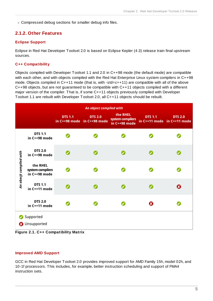**DED Compressed debug sections for smaller debug info files.** 

### <span id="page-8-0"></span>**2.1.2. Other Features**

#### **Eclipse Support**

Eclipse in Red Hat Developer Toolset 2.0 is based on Eclipse Kepler (4.3) release train final upstream sources.

#### **C++ Compatibility**

Objects compiled with Developer Toolset 1.1 and 2.0 in C++98 mode (the default mode) are compatible with each other, and with objects compiled with the Red Hat Enterprise Linux system compilers in C++98 mode. Objects compiled in C++11 mode (that is, with -std=c++11) are compatible with all of the above  $C++98$  objects, but are not quaranteed to be compatible with  $C++11$  objects compiled with a different major version of the compiler. That is, if some C++11 objects previously compiled with Developer Toolset 1.1 are rebuilt with Developer Toolset 2.0, all C++11 objects should be rebuilt.

| An object compiled with |                                               |                |                                               |                                               |                |                                               |
|-------------------------|-----------------------------------------------|----------------|-----------------------------------------------|-----------------------------------------------|----------------|-----------------------------------------------|
|                         |                                               | <b>DTS 1.1</b> | <b>DTS 2.0</b><br>in C++98 mode in C++98 mode | the RHEL<br>system compilers<br>in C++98 mode | <b>DTS 1.1</b> | <b>DTS 2.0</b><br>in C++11 mode in C++11 mode |
| An obecjt compiled with | <b>DTS 1.1</b><br>in C++98 mode               |                |                                               |                                               |                |                                               |
|                         | <b>DTS 2.0</b><br>in C++98 mode               |                |                                               |                                               |                |                                               |
|                         | the RHEL<br>system compilers<br>in C++98 mode |                |                                               |                                               |                |                                               |
|                         | <b>DTS 1.1</b><br>in C++11 mode               |                |                                               |                                               |                | Ø                                             |
|                         | <b>DTS 2.0</b><br>in C++11 mode               |                |                                               |                                               | Ø              |                                               |
|                         | Supported<br><b>3</b> Unsupported             |                |                                               |                                               |                |                                               |



#### **Improved AMD Support**

GCC in Red Hat Developer Toolset 2.0 provides improved support for AMD Family 15h, model 02h, and 10-1f processors. This includes, for example, better instruction scheduling and support of FMA4 instruction sets.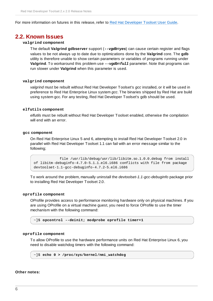For more information on futures in this release, refer to Red Hat [Developer](https://access.redhat.com/site/documentation/en-US/Red_Hat_Developer_Toolset/2/html/User_Guide/sect-Red_Hat_Developer_Toolset-Features.html) Toolset User Guide.

### <span id="page-9-0"></span>**2.2. Known Issues**

#### **valgrind component**

The default **Valgrind gdbserver** support (*--vgdb=yes*) can cause certain register and flags values to be not always up to date due to optimizations done by the **Valgrind** core. The **gdb** utility is therefore unable to show certain parameters or variables of programs running under **Valgrind**. To workaround this problem use *--vgdb=full* parameter. Note that programs can run slower under **Valgrind** when this parameter is used.

#### **valgrind component**

*valgrind* must be rebuilt without Red Hat Developer Toolset's *gcc* installed, or it will be used in preference to Red Hat Enterprise Linux system *gcc*. The binaries shipped by Red Hat are build using system gcc. For any testing, Red Hat Developer Toolset's gdb should be used.

#### **elfutils component**

*elfutils* must be rebuilt without Red Hat Developer Toolset enabled, otherwise the compilation will end with an error.

#### **gcc component**

On Red Hat Enterprise Linux 5 and 6, attempting to install Red Hat Developer Toolset 2.0 in parallel with Red Hat Developer Toolset 1.1 can fail with an error message similar to the following;

file /usr/lib/debug/usr/lib/libitm.so.1.0.0.debug from install of libitm-debuginfo-4.7.0-5.1.1.el6.i686 conflicts with file from package devtoolset-1.1-gcc-debuginfo-4.7.2-5.el6.i686

To work around the problem, manually uninstall the *devtoolset-1.1-gcc-debuginfo* package prior to installing Red Hat Developer Toolset 2.0.

#### **oprofile component**

OProfile provides access to performance monitoring hardware only on physical machines. If you are using OProfile on a virtual machine guest, you need to force OProfile to use the timer mechanism with the following command:

~]\$ **opcontrol --deinit; modprobe oprofile timer=1**

#### **oprofile component**

To allow OProfile to use the hardware performance units on Red Hat Enterprise Linux 6, you need to disable watchdog timers with the following command:

```
~]$ echo 0 > /proc/sys/kernel/nmi_watchdog
```
#### **Other notes:**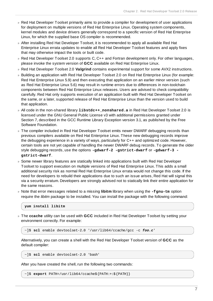- Red Hat Developer Toolset primarily aims to provide a compiler for development of user applications for deployment on multiple versions of Red Hat Enterprise Linux. Operating system components, kernel modules and device drivers generally correspond to a specific version of Red Hat Enterprise Linux, for which the supplied base OS compiler is recommended.
- After installing Red Hat Developer Toolset, it is recommended to apply all available Red Hat Enterprise Linux errata updates to enable all Red Hat Developer Toolset features and apply fixes that may otherwise impact the tools or built code.
- Red Hat Developer Toolset 2.0 supports C, C++ and Fortran development only. For other languages, please invoke the system version of **GCC** available on Red Hat Enterprise Linux.
- Red Hat Developer Toolset 2.0 **Valgrind** contains experimental support for some AVX2 instructions.
- Building an application with Red Hat Developer Toolset 2.0 on Red Hat Enterprise Linux (for example: Red Hat Enterprise Linux 5.9) and then executing that application on an earlier minor version (such as Red Hat Enterprise Linux 5.6) may result in runtime errors due to differences in non-toolchain components between Red Hat Enterprise Linux releases. Users are advised to check compatibility carefully. Red Hat only supports execution of an application built with Red Hat Developer Toolset on the same, or a later, supported release of Red Hat Enterprise Linux than the version used to build that application.
- All code in the non-shared library **libstdc++\_nonshared.a** in Red Hat Developer Toolset 2.0 is licensed under the GNU General Public License v3 with additional permissions granted under Section 7, described in the GCC Runtime Library Exception version 3.1, as published by the Free Software Foundation.
- The compiler included in Red Hat Developer Toolset emits newer DWARF debugging records than previous compilers available on Red Hat Enterprise Linux. These new debugging records improve the debugging experience in a variety of ways, particularly for C++ and optimized code. However, certain tools are not yet capable of handling the newer DWARF debug records. To generate the older style debugging records, use the options **-gdwarf-2 -gstrict-dwarf** or **-gdwarf-3 gstrict-dwarf**.
- Some newer library features are statically linked into applications built with Red Hat Developer Toolset to support execution on multiple versions of Red Hat Enterprise Linux. This adds a small additional security risk as normal Red Hat Enterprise Linux errata would not change this code. If the need for developers to rebuild their applications due to such an issue arises, Red Hat will signal this via a security erratum. Developers are strongly advised not to statically link their entire application for the same reasons.
- Note that error messages related to a missing **libitm** library when using the **-fgnu-tm** option require the *libitm* package to be installed. You can install the package with the following command:

**yum install libitm**

The **ccache** utility can be used with **GCC** included in Red Hat Developer Toolset by setting your environment correctly. For example:

~]\$ **scl** enable devtoolset-2.0 '/usr/lib64/ccache/gcc -c *foo.c*'

Alternatively, you can create a shell with the Red Hat Developer Toolset version of **GCC** as the default compiler:

~]\$ **scl** enable devtoolset-2.0 'bash'

After you have created the shell, run the following two commands:

~]\$ **export** PATH=/usr/lib64/ccache\${PATH:+:\${PATH}}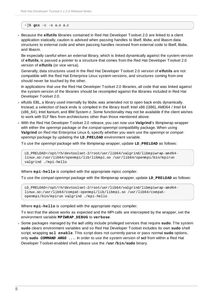#### ~]\$ **gcc** -c -o a.o a.c

Because the **elfutils** libraries contained in Red Hat Developer Toolset 2.0 are linked to a client application statically, caution is advised when passing handles to libelf, libdw, and libasm data structures to external code and when passing handles received from external code to libelf, libdw, and libasm.

Be especially careful when an external library, which is linked dynamically against the system version of **elfutils**, is passed a pointer to a structure that comes from the Red Hat Developer Toolset 2.0 version of **elfutils** (or vice versa).

Generally, data structures used in the Red Hat Developer Toolset 2.0 version of **elfutils** are not compatible with the Red Hat Enterprise Linux system versions, and structures coming from one should never be touched by the other.

In applications that use the Red Hat Developer Toolset 2.0 libraries, all code that was linked against the system version of the libraries should be recompiled against the libraries included in Red Hat Developer Toolset 2.0.

- elfutils EBL, a library used internally by libdw, was amended not to open back ends dynamically. Instead, a selection of back ends is compiled in the library itself: Intel x86 (i386), AMD64 / Intel 64 (x86\_64), Intel Itanium, and IBM System z. Some functionality may not be available if the client wishes to work with ELF files from architectures other than those mentioned above.
- With the Red Hat Developer Toolset 2.0 release, you can now use **Valgrind**'s libmpiwrap wrapper with either the *openmpi* package or the *compat-openmpi* compatibility package. When using **Valgrind** on Red Hat Enterprise Linux 6, specify whether you want use the *openmpi* or *compatopenmpi* package by updating the **LD\_PRELOAD** environment variable.

To use the *openmpi* package with the libmpiwrap wrapper, update **LD\_PRELOAD** as follows:

```
LD_PRELOAD=/opt/rh/devtoolset-2/root/usr/lib64/valgrind/libmpiwrap-amd64-
linux.so:/usr/lib64/openmpi/lib/libmpi.so /usr/lib64/openmpi/bin/mpirun
valgrind ./mpi-hello
```
Where **mpi-hello** is compiled with the appropriate mpicc compiler.

To use the *compat-openmpi* package with the libmpiwrap wrapper, update **LD\_PRELOAD** as follows:

LD\_PRELOAD=/opt/rh/devtoolset-2/root/usr/lib64/valgrind/libmpiwrap-amd64 linux.so:/usr/lib64/compat-openmpi/lib/libmpi.so /usr/lib64/compatopenmpi/bin/mpirun valgrind ./mpi-hello

Where **mpi-hello** is compiled with the appropriate mpicc compiler.

To test that the above works as expected and the MPI calls are intercepted by the wrapper, set the environment variable **MPIWRAP\_DEBUG** to **verbose**.

Some packages managed by the **scl** utility include privileged services that require **sudo**. The system **sudo** clears environment variables and so Red Hat Developer Toolset includes its own **sudo** shell script, wrapping **scl enable**. This script does not currently parse or pass normal **sudo** options, only **sudo** *COMMAND ARGS ...*. In order to use the system version of **scl** from within a Red Hat Developer Toolset-enabled shell, please use the **/usr/bin/sudo** binary.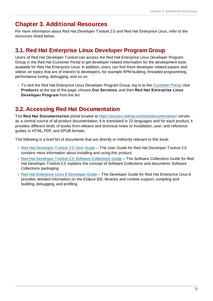### <span id="page-12-0"></span>**Chapter 3. Additional Resources**

For more information about Red Hat Developer Toolset 2.0 and Red Hat Enterprise Linux, refer to the resources listed below.

### <span id="page-12-1"></span>**3.1. Red Hat Enterprise Linux Developer Program Group**

Users of Red Hat Developer Toolset can access the Red Hat Enterprise Linux Developer Program Group in the Red Hat Customer Portal to get developer related information for the development tools available for Red Hat Enterprise Linux. In addition, users can find there developer related papers and videos on topics that are of interest to developers, for example RPM building, threaded programming, performance tuning, debugging, and so on.

■ To visit the Red Hat Enterprise Linux Developer Program Group, log in to the [Customer](https://access.redhat.com/) Portal, click **Products** at the top of the page, choose **Our Services**, and then **Red Hat Enterprise Linux Developer Program** from the list.

### <span id="page-12-2"></span>**3.2. Accessing Red Hat Documentation**

The **Red Hat Documentation** portal located at <https://access.redhat.com/site/documentation/> serves as a central source of all product documentation. It is translated in 22 languages and for each product, it provides different kinds of books from release and technical notes to installation, user, and reference guides in HTML, PDF, and EPUB formats.

The following is a brief list of documents that are directly or indirectly relevant to this book:

- Red Hat [Developer](https://access.redhat.com/site/documentation/en-US/Red_Hat_Developer_Toolset/2/html/User_Guide/index.html) Toolset 2.0 User Guide The *User Guide* for Red Hat Developer Toolset 2.0 contains more information about installing and using this product.
- Red Hat Developer Toolset 2.0 Software [Collections](https://access.redhat.com/site/documentation/en-US/Red_Hat_Developer_Toolset/2/html/Software_Collections_Guide/index.html) Guide The *Software Collections Guide* for Red Hat Developer Toolset 2.0 explains the concept of Software Collections and documents Software Collections packaging.
- Red Hat [Enterprise](https://access.redhat.com/site/documentation/en-US/Red_Hat_Enterprise_Linux/6/html/Developer_Guide/index.html) Linux 6 Developer Guide The *Developer Guide* for Red Hat Enterprise Linux 6 provides detailed information on the Eclipse IDE, libraries and runtime support, compiling and building, debugging, and profiling.